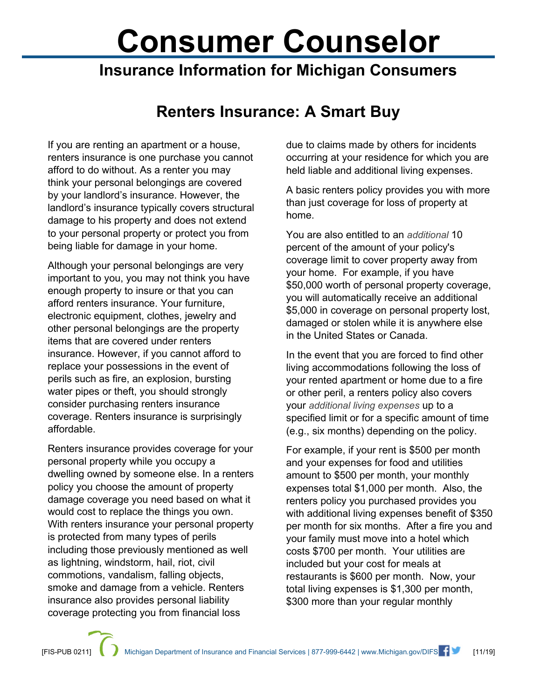## **Consumer Counselor**

## **Insurance Information for Michigan Consumers**

## **Renters Insurance: A Smart Buy**

If you are renting an apartment or a house, renters insurance is one purchase you cannot afford to do without. As a renter you may think your personal belongings are covered by your landlord's insurance. However, the landlord's insurance typically covers structural damage to his property and does not extend to your personal property or protect you from being liable for damage in your home.

Although your personal belongings are very important to you, you may not think you have enough property to insure or that you can afford renters insurance. Your furniture, electronic equipment, clothes, jewelry and other personal belongings are the property items that are covered under renters insurance. However, if you cannot afford to replace your possessions in the event of perils such as fire, an explosion, bursting water pipes or theft, you should strongly consider purchasing renters insurance coverage. Renters insurance is surprisingly affordable.

Renters insurance provides coverage for your personal property while you occupy a dwelling owned by someone else. In a renters policy you choose the amount of property damage coverage you need based on what it would cost to replace the things you own. With renters insurance your personal property is protected from many types of perils including those previously mentioned as well as lightning, windstorm, hail, riot, civil commotions, vandalism, falling objects, smoke and damage from a vehicle. Renters insurance also provides personal liability coverage protecting you from financial loss

due to claims made by others for incidents occurring at your residence for which you are held liable and additional living expenses.

A basic renters policy provides you with more than just coverage for loss of property at home.

You are also entitled to an *additional* 10 percent of the amount of your policy's coverage limit to cover property away from your home. For example, if you have \$50,000 worth of personal property coverage, you will automatically receive an additional \$5,000 in coverage on personal property lost, damaged or stolen while it is anywhere else in the United States or Canada.

In the event that you are forced to find other living accommodations following the loss of your rented apartment or home due to a fire or other peril, a renters policy also covers your *additional living expenses* up to a specified limit or for a specific amount of time (e.g., six months) depending on the policy.

For example, if your rent is \$500 per month and your expenses for food and utilities amount to \$500 per month, your monthly expenses total \$1,000 per month. Also, the renters policy you purchased provides you with additional living expenses benefit of \$350 per month for six months. After a fire you and your family must move into a hotel which costs \$700 per month. Your utilities are included but your cost for meals at restaurants is \$600 per month. Now, your total living expenses is \$1,300 per month, \$300 more than your regular monthly